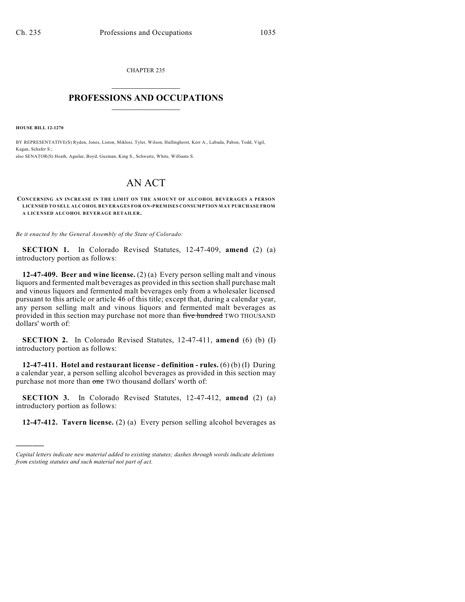CHAPTER 235  $\overline{\phantom{a}}$  . The set of the set of the set of the set of the set of the set of the set of the set of the set of the set of the set of the set of the set of the set of the set of the set of the set of the set of the set o

## **PROFESSIONS AND OCCUPATIONS**  $\frac{1}{2}$  ,  $\frac{1}{2}$  ,  $\frac{1}{2}$  ,  $\frac{1}{2}$  ,  $\frac{1}{2}$  ,  $\frac{1}{2}$

**HOUSE BILL 12-1270**

)))))

BY REPRESENTATIVE(S) Ryden, Jones, Liston, Miklosi, Tyler, Wilson, Hullinghorst, Kerr A., Labuda, Pabon, Todd, Vigil, Kagan, Schafer S.; also SENATOR(S) Heath, Aguilar, Boyd, Guzman, King S., Schwartz, White, Williams S.

## AN ACT

**CONCERNING AN INCREASE IN THE LIMIT ON THE AMOUNT OF ALCOHOL BEVERAGES A PERSON LICENSED TO SELL ALCOHOL BEVERAGES FOR ON-PREMISES CONSUMPTION MAY PURCHASE FROM A LICENSED ALCOHOL BEVERAGE RETAILER.**

*Be it enacted by the General Assembly of the State of Colorado:*

**SECTION 1.** In Colorado Revised Statutes, 12-47-409, **amend** (2) (a) introductory portion as follows:

**12-47-409. Beer and wine license.** (2) (a) Every person selling malt and vinous liquors and fermented malt beverages as provided in thissection shall purchase malt and vinous liquors and fermented malt beverages only from a wholesaler licensed pursuant to this article or article 46 of this title; except that, during a calendar year, any person selling malt and vinous liquors and fermented malt beverages as provided in this section may purchase not more than five hundred TWO THOUSAND dollars' worth of:

**SECTION 2.** In Colorado Revised Statutes, 12-47-411, **amend** (6) (b) (I) introductory portion as follows:

**12-47-411. Hotel and restaurant license - definition - rules.** (6) (b) (I) During a calendar year, a person selling alcohol beverages as provided in this section may purchase not more than one TWO thousand dollars' worth of:

**SECTION 3.** In Colorado Revised Statutes, 12-47-412, **amend** (2) (a) introductory portion as follows:

**12-47-412. Tavern license.** (2) (a) Every person selling alcohol beverages as

*Capital letters indicate new material added to existing statutes; dashes through words indicate deletions from existing statutes and such material not part of act.*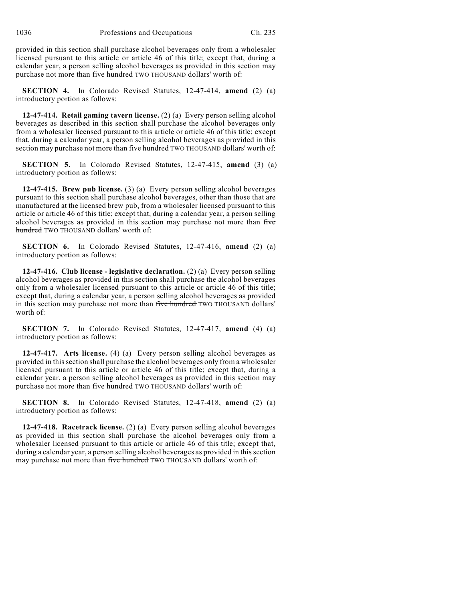1036 Professions and Occupations Ch. 235

provided in this section shall purchase alcohol beverages only from a wholesaler licensed pursuant to this article or article 46 of this title; except that, during a calendar year, a person selling alcohol beverages as provided in this section may purchase not more than five hundred TWO THOUSAND dollars' worth of:

**SECTION 4.** In Colorado Revised Statutes, 12-47-414, **amend** (2) (a) introductory portion as follows:

**12-47-414. Retail gaming tavern license.** (2) (a) Every person selling alcohol beverages as described in this section shall purchase the alcohol beverages only from a wholesaler licensed pursuant to this article or article 46 of this title; except that, during a calendar year, a person selling alcohol beverages as provided in this section may purchase not more than five hundred TWO THOUSAND dollars' worth of:

**SECTION 5.** In Colorado Revised Statutes, 12-47-415, **amend** (3) (a) introductory portion as follows:

**12-47-415. Brew pub license.** (3) (a) Every person selling alcohol beverages pursuant to this section shall purchase alcohol beverages, other than those that are manufactured at the licensed brew pub, from a wholesaler licensed pursuant to this article or article 46 of this title; except that, during a calendar year, a person selling alcohol beverages as provided in this section may purchase not more than five hundred TWO THOUSAND dollars' worth of:

**SECTION 6.** In Colorado Revised Statutes, 12-47-416, **amend** (2) (a) introductory portion as follows:

**12-47-416. Club license - legislative declaration.** (2) (a) Every person selling alcohol beverages as provided in this section shall purchase the alcohol beverages only from a wholesaler licensed pursuant to this article or article 46 of this title; except that, during a calendar year, a person selling alcohol beverages as provided in this section may purchase not more than five hundred TWO THOUSAND dollars' worth of:

**SECTION 7.** In Colorado Revised Statutes, 12-47-417, **amend** (4) (a) introductory portion as follows:

**12-47-417. Arts license.** (4) (a) Every person selling alcohol beverages as provided in thissection shall purchase the alcohol beverages only from a wholesaler licensed pursuant to this article or article 46 of this title; except that, during a calendar year, a person selling alcohol beverages as provided in this section may purchase not more than five hundred TWO THOUSAND dollars' worth of:

**SECTION 8.** In Colorado Revised Statutes, 12-47-418, **amend** (2) (a) introductory portion as follows:

**12-47-418. Racetrack license.** (2) (a) Every person selling alcohol beverages as provided in this section shall purchase the alcohol beverages only from a wholesaler licensed pursuant to this article or article 46 of this title; except that, during a calendar year, a person selling alcohol beverages as provided in this section may purchase not more than five hundred TWO THOUSAND dollars' worth of: